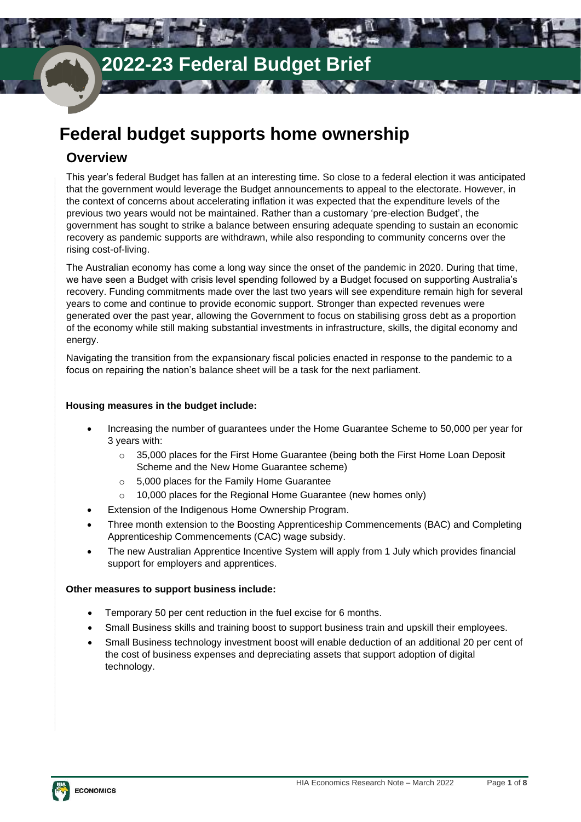## **Federal budget supports home ownership**

## **Overview**

This year's federal Budget has fallen at an interesting time. So close to a federal election it was anticipated that the government would leverage the Budget announcements to appeal to the electorate. However, in the context of concerns about accelerating inflation it was expected that the expenditure levels of the previous two years would not be maintained. Rather than a customary 'pre-election Budget', the government has sought to strike a balance between ensuring adequate spending to sustain an economic recovery as pandemic supports are withdrawn, while also responding to community concerns over the rising cost-of-living.

The Australian economy has come a long way since the onset of the pandemic in 2020. During that time, we have seen a Budget with crisis level spending followed by a Budget focused on supporting Australia's recovery. Funding commitments made over the last two years will see expenditure remain high for several years to come and continue to provide economic support. Stronger than expected revenues were generated over the past year, allowing the Government to focus on stabilising gross debt as a proportion of the economy while still making substantial investments in infrastructure, skills, the digital economy and energy.

Navigating the transition from the expansionary fiscal policies enacted in response to the pandemic to a focus on repairing the nation's balance sheet will be a task for the next parliament.

## **Housing measures in the budget include:**

- Increasing the number of guarantees under the Home Guarantee Scheme to 50,000 per year for 3 years with:
	- $\circ$  35,000 places for the First Home Guarantee (being both the First Home Loan Deposit Scheme and the New Home Guarantee scheme)
	- o 5,000 places for the Family Home Guarantee
	- o 10,000 places for the Regional Home Guarantee (new homes only)
- Extension of the Indigenous Home Ownership Program.
- Three month extension to the Boosting Apprenticeship Commencements (BAC) and Completing Apprenticeship Commencements (CAC) wage subsidy.
- The new Australian Apprentice Incentive System will apply from 1 July which provides financial support for employers and apprentices.

## **Other measures to support business include:**

- Temporary 50 per cent reduction in the fuel excise for 6 months.
- Small Business skills and training boost to support business train and upskill their employees.
- Small Business technology investment boost will enable deduction of an additional 20 per cent of the cost of business expenses and depreciating assets that support adoption of digital technology.

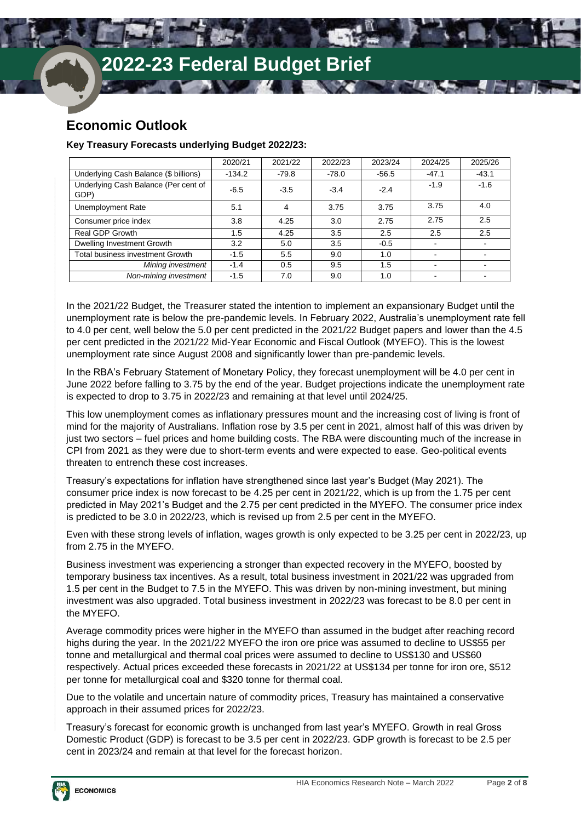**B** 11

## **Economic Outlook**

## **Key Treasury Forecasts underlying Budget 2022/23:**

|                                              | 2020/21  | 2021/22 | 2022/23 | 2023/24 | 2024/25 | 2025/26 |
|----------------------------------------------|----------|---------|---------|---------|---------|---------|
| Underlying Cash Balance (\$ billions)        | $-134.2$ | $-79.8$ | $-78.0$ | $-56.5$ | $-47.1$ | $-43.1$ |
| Underlying Cash Balance (Per cent of<br>GDP) | $-6.5$   | $-3.5$  | $-3.4$  | $-2.4$  | $-1.9$  | $-1.6$  |
| Unemployment Rate                            | 5.1      | 4       | 3.75    | 3.75    | 3.75    | 4.0     |
| Consumer price index                         | 3.8      | 4.25    | 3.0     | 2.75    | 2.75    | 2.5     |
| Real GDP Growth                              | 1.5      | 4.25    | 3.5     | 2.5     | 2.5     | 2.5     |
| Dwelling Investment Growth                   | 3.2      | 5.0     | 3.5     | $-0.5$  |         |         |
| Total business investment Growth             | $-1.5$   | 5.5     | 9.0     | 1.0     |         |         |
| Mining investment                            | $-1.4$   | 0.5     | 9.5     | 1.5     |         |         |
| Non-mining investment                        | $-1.5$   | 7.0     | 9.0     | 1.0     |         |         |

 $\blacksquare$ 

 $\sim$   $\sim$   $\sim$ 

In the 2021/22 Budget, the Treasurer stated the intention to implement an expansionary Budget until the unemployment rate is below the pre-pandemic levels. In February 2022, Australia's unemployment rate fell to 4.0 per cent, well below the 5.0 per cent predicted in the 2021/22 Budget papers and lower than the 4.5 per cent predicted in the 2021/22 Mid-Year Economic and Fiscal Outlook (MYEFO). This is the lowest unemployment rate since August 2008 and significantly lower than pre-pandemic levels.

In the RBA's February Statement of Monetary Policy, they forecast unemployment will be 4.0 per cent in June 2022 before falling to 3.75 by the end of the year. Budget projections indicate the unemployment rate is expected to drop to 3.75 in 2022/23 and remaining at that level until 2024/25.

This low unemployment comes as inflationary pressures mount and the increasing cost of living is front of mind for the majority of Australians. Inflation rose by 3.5 per cent in 2021, almost half of this was driven by just two sectors – fuel prices and home building costs. The RBA were discounting much of the increase in CPI from 2021 as they were due to short-term events and were expected to ease. Geo-political events threaten to entrench these cost increases.

Treasury's expectations for inflation have strengthened since last year's Budget (May 2021). The consumer price index is now forecast to be 4.25 per cent in 2021/22, which is up from the 1.75 per cent predicted in May 2021's Budget and the 2.75 per cent predicted in the MYEFO. The consumer price index is predicted to be 3.0 in 2022/23, which is revised up from 2.5 per cent in the MYEFO.

Even with these strong levels of inflation, wages growth is only expected to be 3.25 per cent in 2022/23, up from 2.75 in the MYEFO.

Business investment was experiencing a stronger than expected recovery in the MYEFO, boosted by temporary business tax incentives. As a result, total business investment in 2021/22 was upgraded from 1.5 per cent in the Budget to 7.5 in the MYEFO. This was driven by non-mining investment, but mining investment was also upgraded. Total business investment in 2022/23 was forecast to be 8.0 per cent in the MYEFO.

Average commodity prices were higher in the MYEFO than assumed in the budget after reaching record highs during the year. In the 2021/22 MYEFO the iron ore price was assumed to decline to US\$55 per tonne and metallurgical and thermal coal prices were assumed to decline to US\$130 and US\$60 respectively. Actual prices exceeded these forecasts in 2021/22 at US\$134 per tonne for iron ore, \$512 per tonne for metallurgical coal and \$320 tonne for thermal coal.

Due to the volatile and uncertain nature of commodity prices, Treasury has maintained a conservative approach in their assumed prices for 2022/23.

Treasury's forecast for economic growth is unchanged from last year's MYEFO. Growth in real Gross Domestic Product (GDP) is forecast to be 3.5 per cent in 2022/23. GDP growth is forecast to be 2.5 per cent in 2023/24 and remain at that level for the forecast horizon.

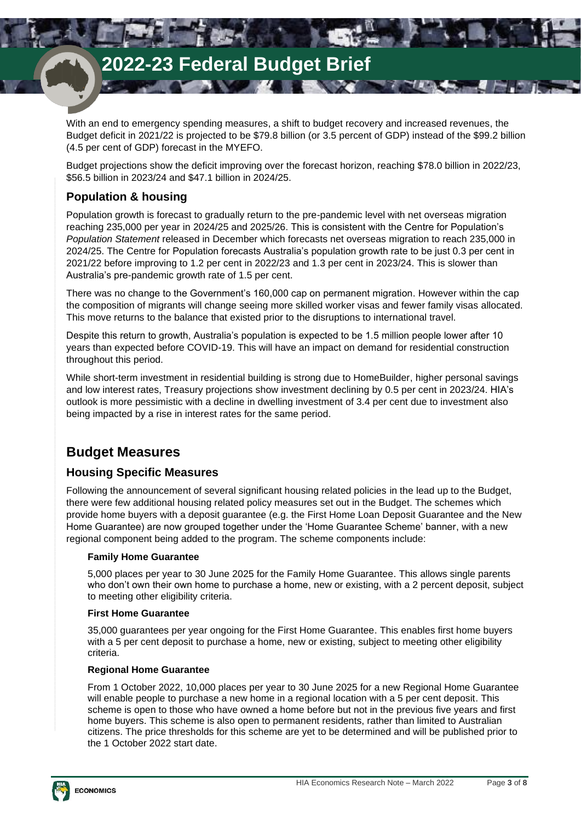With an end to emergency spending measures, a shift to budget recovery and increased revenues, the Budget deficit in 2021/22 is projected to be \$79.8 billion (or 3.5 percent of GDP) instead of the \$99.2 billion (4.5 per cent of GDP) forecast in the MYEFO.

**WE ARE WE** 

**TANK** 

Budget projections show the deficit improving over the forecast horizon, reaching \$78.0 billion in 2022/23, \$56.5 billion in 2023/24 and \$47.1 billion in 2024/25.

## **Population & housing**

Population growth is forecast to gradually return to the pre-pandemic level with net overseas migration reaching 235,000 per year in 2024/25 and 2025/26. This is consistent with the Centre for Population's *Population Statement* released in December which forecasts net overseas migration to reach 235,000 in 2024/25. The Centre for Population forecasts Australia's population growth rate to be just 0.3 per cent in 2021/22 before improving to 1.2 per cent in 2022/23 and 1.3 per cent in 2023/24. This is slower than Australia's pre-pandemic growth rate of 1.5 per cent.

There was no change to the Government's 160,000 cap on permanent migration. However within the cap the composition of migrants will change seeing more skilled worker visas and fewer family visas allocated. This move returns to the balance that existed prior to the disruptions to international travel.

Despite this return to growth, Australia's population is expected to be 1.5 million people lower after 10 years than expected before COVID-19. This will have an impact on demand for residential construction throughout this period.

While short-term investment in residential building is strong due to HomeBuilder, higher personal savings and low interest rates, Treasury projections show investment declining by 0.5 per cent in 2023/24. HIA's outlook is more pessimistic with a decline in dwelling investment of 3.4 per cent due to investment also being impacted by a rise in interest rates for the same period.

## **Budget Measures**

## **Housing Specific Measures**

Following the announcement of several significant housing related policies in the lead up to the Budget, there were few additional housing related policy measures set out in the Budget. The schemes which provide home buyers with a deposit guarantee (e.g. the First Home Loan Deposit Guarantee and the New Home Guarantee) are now grouped together under the 'Home Guarantee Scheme' banner, with a new regional component being added to the program. The scheme components include:

## **Family Home Guarantee**

5,000 places per year to 30 June 2025 for the Family Home Guarantee. This allows single parents who don't own their own home to purchase a home, new or existing, with a 2 percent deposit, subject to meeting other eligibility criteria.

## **First Home Guarantee**

35,000 guarantees per year ongoing for the First Home Guarantee. This enables first home buyers with a 5 per cent deposit to purchase a home, new or existing, subject to meeting other eligibility criteria.

## **Regional Home Guarantee**

From 1 October 2022, 10,000 places per year to 30 June 2025 for a new Regional Home Guarantee will enable people to purchase a new home in a regional location with a 5 per cent deposit. This scheme is open to those who have owned a home before but not in the previous five years and first home buyers. This scheme is also open to permanent residents, rather than limited to Australian citizens. The price thresholds for this scheme are yet to be determined and will be published prior to the 1 October 2022 start date.

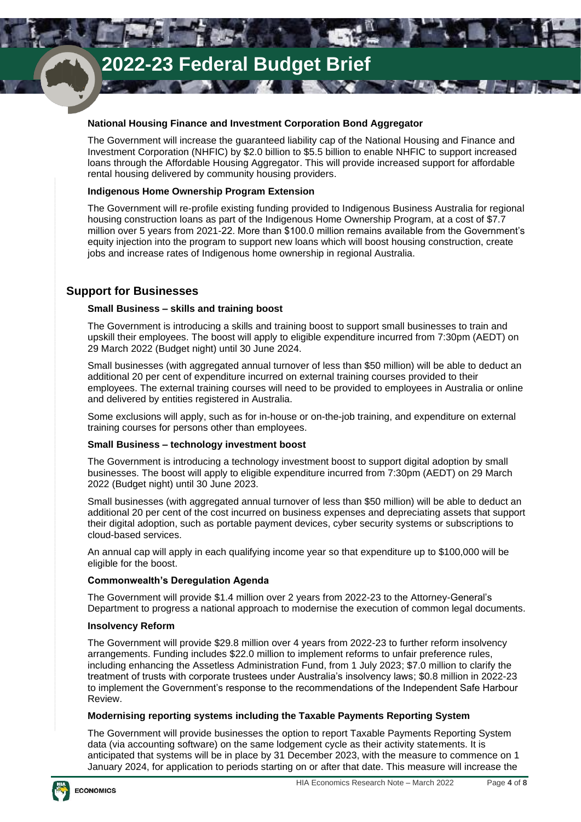## **National Housing Finance and Investment Corporation Bond Aggregator**

The Government will increase the guaranteed liability cap of the National Housing and Finance and Investment Corporation (NHFIC) by \$2.0 billion to \$5.5 billion to enable NHFIC to support increased loans through the Affordable Housing Aggregator. This will provide increased support for affordable rental housing delivered by community housing providers.

WARE WAS

**TAN** 

## **Indigenous Home Ownership Program Extension**

ы

The Government will re-profile existing funding provided to Indigenous Business Australia for regional housing construction loans as part of the Indigenous Home Ownership Program, at a cost of \$7.7 million over 5 years from 2021-22. More than \$100.0 million remains available from the Government's equity injection into the program to support new loans which will boost housing construction, create jobs and increase rates of Indigenous home ownership in regional Australia.

## **Support for Businesses**

## **Small Business – skills and training boost**

The Government is introducing a skills and training boost to support small businesses to train and upskill their employees. The boost will apply to eligible expenditure incurred from 7:30pm (AEDT) on 29 March 2022 (Budget night) until 30 June 2024.

Small businesses (with aggregated annual turnover of less than \$50 million) will be able to deduct an additional 20 per cent of expenditure incurred on external training courses provided to their employees. The external training courses will need to be provided to employees in Australia or online and delivered by entities registered in Australia.

Some exclusions will apply, such as for in-house or on-the-job training, and expenditure on external training courses for persons other than employees.

### **Small Business – technology investment boost**

The Government is introducing a technology investment boost to support digital adoption by small businesses. The boost will apply to eligible expenditure incurred from 7:30pm (AEDT) on 29 March 2022 (Budget night) until 30 June 2023.

Small businesses (with aggregated annual turnover of less than \$50 million) will be able to deduct an additional 20 per cent of the cost incurred on business expenses and depreciating assets that support their digital adoption, such as portable payment devices, cyber security systems or subscriptions to cloud-based services.

An annual cap will apply in each qualifying income year so that expenditure up to \$100,000 will be eligible for the boost.

## **Commonwealth's Deregulation Agenda**

The Government will provide \$1.4 million over 2 years from 2022-23 to the Attorney-General's Department to progress a national approach to modernise the execution of common legal documents.

### **Insolvency Reform**

The Government will provide \$29.8 million over 4 years from 2022-23 to further reform insolvency arrangements. Funding includes \$22.0 million to implement reforms to unfair preference rules, including enhancing the Assetless Administration Fund, from 1 July 2023; \$7.0 million to clarify the treatment of trusts with corporate trustees under Australia's insolvency laws; \$0.8 million in 2022-23 to implement the Government's response to the recommendations of the Independent Safe Harbour Review.

### **Modernising reporting systems including the Taxable Payments Reporting System**

The Government will provide businesses the option to report Taxable Payments Reporting System data (via accounting software) on the same lodgement cycle as their activity statements. It is anticipated that systems will be in place by 31 December 2023, with the measure to commence on 1 January 2024, for application to periods starting on or after that date. This measure will increase the

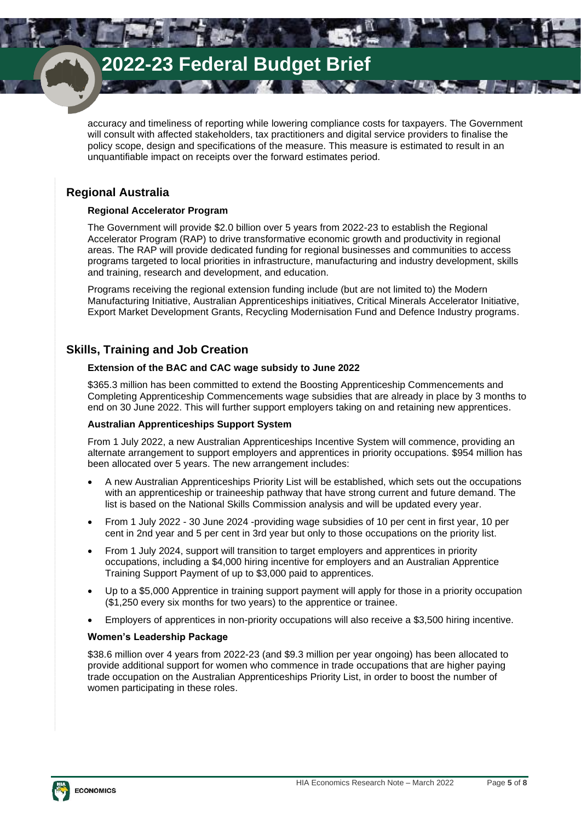**PARTIES** 

accuracy and timeliness of reporting while lowering compliance costs for taxpayers. The Government will consult with affected stakeholders, tax practitioners and digital service providers to finalise the policy scope, design and specifications of the measure. This measure is estimated to result in an unquantifiable impact on receipts over the forward estimates period.

**INVER** 

THE S

w

## **Regional Australia**

## **Regional Accelerator Program**

The Government will provide \$2.0 billion over 5 years from 2022-23 to establish the Regional Accelerator Program (RAP) to drive transformative economic growth and productivity in regional areas. The RAP will provide dedicated funding for regional businesses and communities to access programs targeted to local priorities in infrastructure, manufacturing and industry development, skills and training, research and development, and education.

Programs receiving the regional extension funding include (but are not limited to) the Modern Manufacturing Initiative, Australian Apprenticeships initiatives, Critical Minerals Accelerator Initiative, Export Market Development Grants, Recycling Modernisation Fund and Defence Industry programs.

## **Skills, Training and Job Creation**

## **Extension of the BAC and CAC wage subsidy to June 2022**

\$365.3 million has been committed to extend the Boosting Apprenticeship Commencements and Completing Apprenticeship Commencements wage subsidies that are already in place by 3 months to end on 30 June 2022. This will further support employers taking on and retaining new apprentices.

## **Australian Apprenticeships Support System**

From 1 July 2022, a new Australian Apprenticeships Incentive System will commence, providing an alternate arrangement to support employers and apprentices in priority occupations. \$954 million has been allocated over 5 years. The new arrangement includes:

- A new Australian Apprenticeships Priority List will be established, which sets out the occupations with an apprenticeship or traineeship pathway that have strong current and future demand. The list is based on the National Skills Commission analysis and will be updated every year.
- From 1 July 2022 30 June 2024 -providing wage subsidies of 10 per cent in first year, 10 per cent in 2nd year and 5 per cent in 3rd year but only to those occupations on the priority list.
- From 1 July 2024, support will transition to target employers and apprentices in priority occupations, including a \$4,000 hiring incentive for employers and an Australian Apprentice Training Support Payment of up to \$3,000 paid to apprentices.
- Up to a \$5,000 Apprentice in training support payment will apply for those in a priority occupation (\$1,250 every six months for two years) to the apprentice or trainee.
- Employers of apprentices in non-priority occupations will also receive a \$3,500 hiring incentive.

## **Women's Leadership Package**

\$38.6 million over 4 years from 2022-23 (and \$9.3 million per year ongoing) has been allocated to provide additional support for women who commence in trade occupations that are higher paying trade occupation on the Australian Apprenticeships Priority List, in order to boost the number of women participating in these roles.

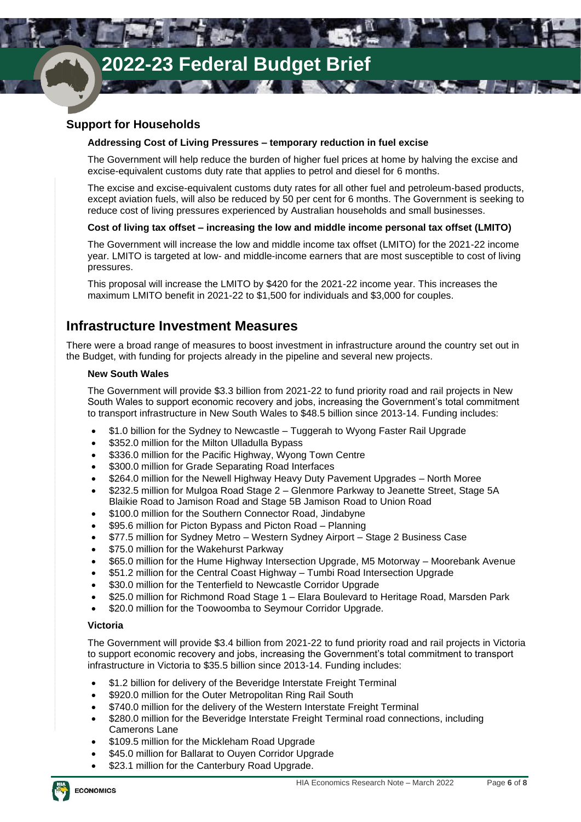## **Support for Households**

## **Addressing Cost of Living Pressures – temporary reduction in fuel excise**

**All Service** 

The Government will help reduce the burden of higher fuel prices at home by halving the excise and excise-equivalent customs duty rate that applies to petrol and diesel for 6 months.

**ANTI** 

**TANK** 

The excise and excise-equivalent customs duty rates for all other fuel and petroleum-based products, except aviation fuels, will also be reduced by 50 per cent for 6 months. The Government is seeking to reduce cost of living pressures experienced by Australian households and small businesses.

## **Cost of living tax offset – increasing the low and middle income personal tax offset (LMITO)**

The Government will increase the low and middle income tax offset (LMITO) for the 2021-22 income year. LMITO is targeted at low- and middle-income earners that are most susceptible to cost of living pressures.

This proposal will increase the LMITO by \$420 for the 2021-22 income year. This increases the maximum LMITO benefit in 2021-22 to \$1,500 for individuals and \$3,000 for couples.

## **Infrastructure Investment Measures**

There were a broad range of measures to boost investment in infrastructure around the country set out in the Budget, with funding for projects already in the pipeline and several new projects.

### **New South Wales**

The Government will provide \$3.3 billion from 2021-22 to fund priority road and rail projects in New South Wales to support economic recovery and jobs, increasing the Government's total commitment to transport infrastructure in New South Wales to \$48.5 billion since 2013-14. Funding includes:

- \$1.0 billion for the Sydney to Newcastle Tuggerah to Wyong Faster Rail Upgrade
- \$352.0 million for the Milton Ulladulla Bypass
- \$336.0 million for the Pacific Highway, Wyong Town Centre
- \$300.0 million for Grade Separating Road Interfaces
- \$264.0 million for the Newell Highway Heavy Duty Pavement Upgrades North Moree
- \$232.5 million for Mulgoa Road Stage 2 Glenmore Parkway to Jeanette Street, Stage 5A Blaikie Road to Jamison Road and Stage 5B Jamison Road to Union Road
- \$100.0 million for the Southern Connector Road, Jindabyne
- \$95.6 million for Picton Bypass and Picton Road Planning
- \$77.5 million for Sydney Metro Western Sydney Airport Stage 2 Business Case
- \$75.0 million for the Wakehurst Parkway
- \$65.0 million for the Hume Highway Intersection Upgrade, M5 Motorway Moorebank Avenue
- \$51.2 million for the Central Coast Highway Tumbi Road Intersection Upgrade
- \$30.0 million for the Tenterfield to Newcastle Corridor Upgrade
- \$25.0 million for Richmond Road Stage 1 Elara Boulevard to Heritage Road, Marsden Park
- \$20.0 million for the Toowoomba to Seymour Corridor Upgrade.

## **Victoria**

The Government will provide \$3.4 billion from 2021-22 to fund priority road and rail projects in Victoria to support economic recovery and jobs, increasing the Government's total commitment to transport infrastructure in Victoria to \$35.5 billion since 2013-14. Funding includes:

- \$1.2 billion for delivery of the Beveridge Interstate Freight Terminal
- \$920.0 million for the Outer Metropolitan Ring Rail South
- \$740.0 million for the delivery of the Western Interstate Freight Terminal
- \$280.0 million for the Beveridge Interstate Freight Terminal road connections, including Camerons Lane
- \$109.5 million for the Mickleham Road Upgrade
- \$45.0 million for Ballarat to Ouyen Corridor Upgrade
- \$23.1 million for the Canterbury Road Upgrade.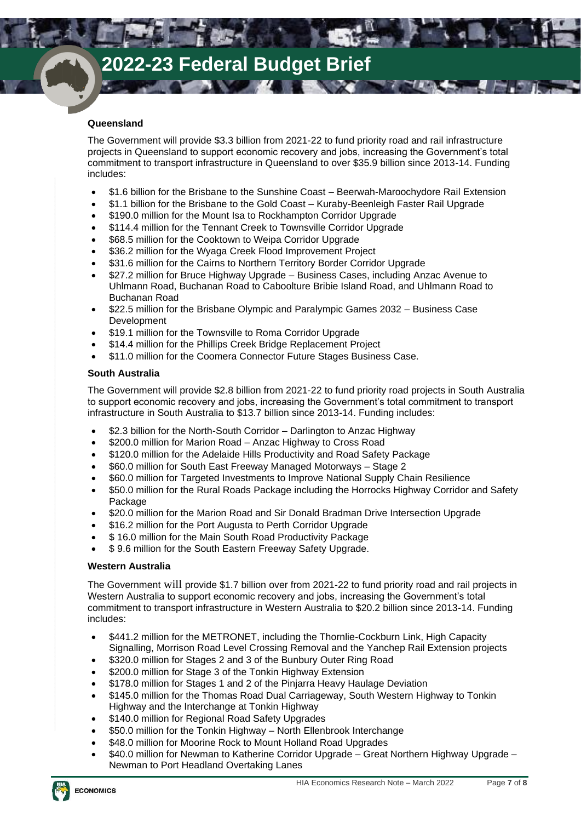$\sim$   $\alpha$ 

## **Queensland**

The Government will provide \$3.3 billion from 2021-22 to fund priority road and rail infrastructure projects in Queensland to support economic recovery and jobs, increasing the Government's total commitment to transport infrastructure in Queensland to over \$35.9 billion since 2013-14. Funding includes:

**All State** 

**TANK** 

- \$1.6 billion for the Brisbane to the Sunshine Coast Beerwah-Maroochydore Rail Extension
- \$1.1 billion for the Brisbane to the Gold Coast Kuraby-Beenleigh Faster Rail Upgrade
- \$190.0 million for the Mount Isa to Rockhampton Corridor Upgrade
- \$114.4 million for the Tennant Creek to Townsville Corridor Upgrade
- \$68.5 million for the Cooktown to Weipa Corridor Upgrade
- \$36.2 million for the Wyaga Creek Flood Improvement Project
- \$31.6 million for the Cairns to Northern Territory Border Corridor Upgrade
- \$27.2 million for Bruce Highway Upgrade Business Cases, including Anzac Avenue to Uhlmann Road, Buchanan Road to Caboolture Bribie Island Road, and Uhlmann Road to Buchanan Road
- \$22.5 million for the Brisbane Olympic and Paralympic Games 2032 Business Case Development
- \$19.1 million for the Townsville to Roma Corridor Upgrade
- \$14.4 million for the Phillips Creek Bridge Replacement Project
- \$11.0 million for the Coomera Connector Future Stages Business Case.

### **South Australia**

The Government will provide \$2.8 billion from 2021-22 to fund priority road projects in South Australia to support economic recovery and jobs, increasing the Government's total commitment to transport infrastructure in South Australia to \$13.7 billion since 2013-14. Funding includes:

- \$2.3 billion for the North-South Corridor Darlington to Anzac Highway
- \$200.0 million for Marion Road Anzac Highway to Cross Road
- \$120.0 million for the Adelaide Hills Productivity and Road Safety Package
- \$60.0 million for South East Freeway Managed Motorways Stage 2
- \$60.0 million for Targeted Investments to Improve National Supply Chain Resilience
- \$50.0 million for the Rural Roads Package including the Horrocks Highway Corridor and Safety Package
- \$20.0 million for the Marion Road and Sir Donald Bradman Drive Intersection Upgrade
- \$16.2 million for the Port Augusta to Perth Corridor Upgrade
- \$16.0 million for the Main South Road Productivity Package
- \$ 9.6 million for the South Eastern Freeway Safety Upgrade.

### **Western Australia**

The Government will provide \$1.7 billion over from 2021-22 to fund priority road and rail projects in Western Australia to support economic recovery and jobs, increasing the Government's total commitment to transport infrastructure in Western Australia to \$20.2 billion since 2013-14. Funding includes:

- \$441.2 million for the METRONET, including the Thornlie-Cockburn Link, High Capacity Signalling, Morrison Road Level Crossing Removal and the Yanchep Rail Extension projects
- \$320.0 million for Stages 2 and 3 of the Bunbury Outer Ring Road
- \$200.0 million for Stage 3 of the Tonkin Highway Extension
- \$178.0 million for Stages 1 and 2 of the Pinjarra Heavy Haulage Deviation
- \$145.0 million for the Thomas Road Dual Carriageway, South Western Highway to Tonkin Highway and the Interchange at Tonkin Highway
- \$140.0 million for Regional Road Safety Upgrades
- \$50.0 million for the Tonkin Highway North Ellenbrook Interchange
- \$48.0 million for Moorine Rock to Mount Holland Road Upgrades
- \$40.0 million for Newman to Katherine Corridor Upgrade Great Northern Highway Upgrade Newman to Port Headland Overtaking Lanes